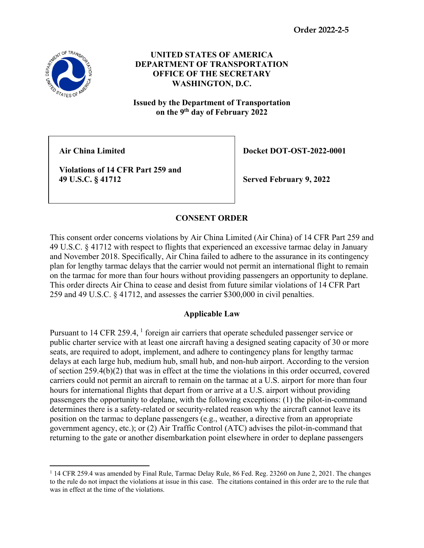

**UNITED STATES OF AMERICA DEPARTMENT OF TRANSPORTATION OFFICE OF THE SECRETARY WASHINGTON, D.C.**

**Issued by the Department of Transportation on the 9th day of February 2022**

**Violations of 14 CFR Part 259 and** 

Air China Limited **Docket DOT-OST-2022-0001** 

 **49 U.S.C. § 41712 Served February 9, 2022**

## **CONSENT ORDER**

This consent order concerns violations by Air China Limited (Air China) of 14 CFR Part 259 and 49 U.S.C. § 41712 with respect to flights that experienced an excessive tarmac delay in January and November 2018. Specifically, Air China failed to adhere to the assurance in its contingency plan for lengthy tarmac delays that the carrier would not permit an international flight to remain on the tarmac for more than four hours without providing passengers an opportunity to deplane. This order directs Air China to cease and desist from future similar violations of 14 CFR Part 259 and 49 U.S.C. § 41712, and assesses the carrier \$300,000 in civil penalties.

## **Applicable Law**

Pursuant to [1](#page-0-0)4 CFR 259.4, <sup>1</sup> foreign air carriers that operate scheduled passenger service or public charter service with at least one aircraft having a designed seating capacity of 30 or more seats, are required to adopt, implement, and adhere to contingency plans for lengthy tarmac delays at each large hub, medium hub, small hub, and non-hub airport. According to the version of section 259.4(b)(2) that was in effect at the time the violations in this order occurred, covered carriers could not permit an aircraft to remain on the tarmac at a U.S. airport for more than four hours for international flights that depart from or arrive at a U.S. airport without providing passengers the opportunity to deplane, with the following exceptions: (1) the pilot-in-command determines there is a safety-related or security-related reason why the aircraft cannot leave its position on the tarmac to deplane passengers (e.g., weather, a directive from an appropriate government agency, etc.); or (2) Air Traffic Control (ATC) advises the pilot-in-command that returning to the gate or another disembarkation point elsewhere in order to deplane passengers

<span id="page-0-0"></span><sup>1</sup> 14 CFR 259.4 was amended by Final Rule, Tarmac Delay Rule, 86 Fed. Reg. 23260 on June 2, 2021. The changes to the rule do not impact the violations at issue in this case. The citations contained in this order are to the rule that was in effect at the time of the violations.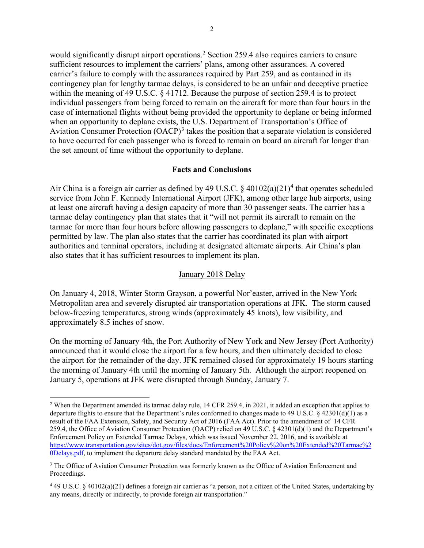would significantly disrupt airport operations.<sup>[2](#page-1-0)</sup> Section 259.4 also requires carriers to ensure sufficient resources to implement the carriers' plans, among other assurances. A covered carrier's failure to comply with the assurances required by Part 259, and as contained in its contingency plan for lengthy tarmac delays, is considered to be an unfair and deceptive practice within the meaning of 49 U.S.C. § 41712. Because the purpose of section 259.4 is to protect individual passengers from being forced to remain on the aircraft for more than four hours in the case of international flights without being provided the opportunity to deplane or being informed when an opportunity to deplane exists, the U.S. Department of Transportation's Office of Aviation Consumer Protection  $(OACP)^3$  $(OACP)^3$  takes the position that a separate violation is considered to have occurred for each passenger who is forced to remain on board an aircraft for longer than the set amount of time without the opportunity to deplane.

### **Facts and Conclusions**

Air China is a foreign air carrier as defined by [4](#page-1-2)9 U.S.C.  $\S$  40102(a)(21)<sup>4</sup> that operates scheduled service from John F. Kennedy International Airport (JFK), among other large hub airports, using at least one aircraft having a design capacity of more than 30 passenger seats. The carrier has a tarmac delay contingency plan that states that it "will not permit its aircraft to remain on the tarmac for more than four hours before allowing passengers to deplane," with specific exceptions permitted by law. The plan also states that the carrier has coordinated its plan with airport authorities and terminal operators, including at designated alternate airports. Air China's plan also states that it has sufficient resources to implement its plan.

### January 2018 Delay

On January 4, 2018, Winter Storm Grayson, a powerful Nor'easter, arrived in the New York Metropolitan area and severely disrupted air transportation operations at JFK. The storm caused below-freezing temperatures, strong winds (approximately 45 knots), low visibility, and approximately 8.5 inches of snow.

On the morning of January 4th, the Port Authority of New York and New Jersey (Port Authority) announced that it would close the airport for a few hours, and then ultimately decided to close the airport for the remainder of the day. JFK remained closed for approximately 19 hours starting the morning of January 4th until the morning of January 5th. Although the airport reopened on January 5, operations at JFK were disrupted through Sunday, January 7.

<span id="page-1-0"></span><sup>&</sup>lt;sup>2</sup> When the Department amended its tarmac delay rule,  $14$  CFR 259.4, in 2021, it added an exception that applies to departure flights to ensure that the Department's rules conformed to changes made to 49 U.S.C. § 42301(d)(1) as a result of the FAA Extension, Safety, and Security Act of 2016 (FAA Act). Prior to the amendment of 14 CFR 259.4, the Office of Aviation Consumer Protection (OACP) relied on 49 U.S.C. § 42301(d)(1) and the Department's Enforcement Policy on Extended Tarmac Delays, which was issued November 22, 2016, and is available at [https://www.transportation.gov/sites/dot.gov/files/docs/Enforcement%20Policy%20on%20Extended%20Tarmac%2](https://www.transportation.gov/sites/dot.gov/files/docs/Enforcement%20Policy%20on%20Extended%20Tarmac%20Delays.pdf) [0Delays.pdf,](https://www.transportation.gov/sites/dot.gov/files/docs/Enforcement%20Policy%20on%20Extended%20Tarmac%20Delays.pdf) to implement the departure delay standard mandated by the FAA Act.

<span id="page-1-1"></span><sup>&</sup>lt;sup>3</sup> The Office of Aviation Consumer Protection was formerly known as the Office of Aviation Enforcement and Proceedings.

<span id="page-1-2"></span><sup>4</sup> 49 U.S.C. § 40102(a)(21) defines a foreign air carrier as "a person, not a citizen of the United States, undertaking by any means, directly or indirectly, to provide foreign air transportation."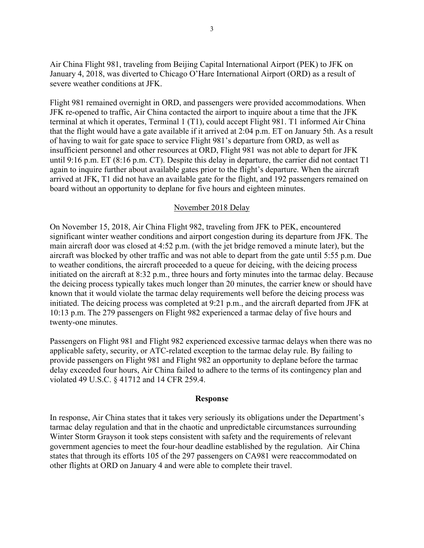Air China Flight 981, traveling from Beijing Capital International Airport (PEK) to JFK on January 4, 2018, was diverted to Chicago O'Hare International Airport (ORD) as a result of severe weather conditions at JFK.

Flight 981 remained overnight in ORD, and passengers were provided accommodations. When JFK re-opened to traffic, Air China contacted the airport to inquire about a time that the JFK terminal at which it operates, Terminal 1 (T1), could accept Flight 981. T1 informed Air China that the flight would have a gate available if it arrived at 2:04 p.m. ET on January 5th. As a result of having to wait for gate space to service Flight 981's departure from ORD, as well as insufficient personnel and other resources at ORD, Flight 981 was not able to depart for JFK until 9:16 p.m. ET (8:16 p.m. CT). Despite this delay in departure, the carrier did not contact T1 again to inquire further about available gates prior to the flight's departure. When the aircraft arrived at JFK, T1 did not have an available gate for the flight, and 192 passengers remained on board without an opportunity to deplane for five hours and eighteen minutes.

### November 2018 Delay

On November 15, 2018, Air China Flight 982, traveling from JFK to PEK, encountered significant winter weather conditions and airport congestion during its departure from JFK. The main aircraft door was closed at 4:52 p.m. (with the jet bridge removed a minute later), but the aircraft was blocked by other traffic and was not able to depart from the gate until 5:55 p.m. Due to weather conditions, the aircraft proceeded to a queue for deicing, with the deicing process initiated on the aircraft at 8:32 p.m., three hours and forty minutes into the tarmac delay. Because the deicing process typically takes much longer than 20 minutes, the carrier knew or should have known that it would violate the tarmac delay requirements well before the deicing process was initiated. The deicing process was completed at 9:21 p.m., and the aircraft departed from JFK at 10:13 p.m. The 279 passengers on Flight 982 experienced a tarmac delay of five hours and twenty-one minutes.

Passengers on Flight 981 and Flight 982 experienced excessive tarmac delays when there was no applicable safety, security, or ATC-related exception to the tarmac delay rule. By failing to provide passengers on Flight 981 and Flight 982 an opportunity to deplane before the tarmac delay exceeded four hours, Air China failed to adhere to the terms of its contingency plan and violated 49 U.S.C. § 41712 and 14 CFR 259.4.

#### **Response**

In response, Air China states that it takes very seriously its obligations under the Department's tarmac delay regulation and that in the chaotic and unpredictable circumstances surrounding Winter Storm Grayson it took steps consistent with safety and the requirements of relevant government agencies to meet the four-hour deadline established by the regulation. Air China states that through its efforts 105 of the 297 passengers on CA981 were reaccommodated on other flights at ORD on January 4 and were able to complete their travel.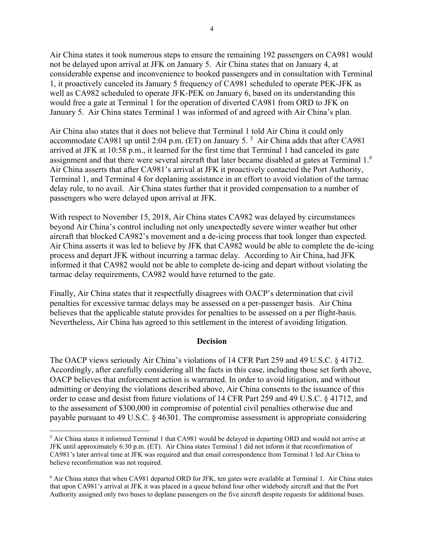Air China states it took numerous steps to ensure the remaining 192 passengers on CA981 would not be delayed upon arrival at JFK on January 5. Air China states that on January 4, at considerable expense and inconvenience to booked passengers and in consultation with Terminal 1, it proactively canceled its January 5 frequency of CA981 scheduled to operate PEK-JFK as well as CA982 scheduled to operate JFK-PEK on January 6, based on its understanding this would free a gate at Terminal 1 for the operation of diverted CA981 from ORD to JFK on January 5. Air China states Terminal 1 was informed of and agreed with Air China's plan.

Air China also states that it does not believe that Terminal 1 told Air China it could only accommodate CA981 up until 2:04 p.m. (ET) on January [5](#page-3-0).<sup>5</sup> Air China adds that after CA981 arrived at JFK at 10:58 p.m., it learned for the first time that Terminal 1 had canceled its gate assignment and that there were several aircraft that later became disabled at gates at Terminal 1. $^6$  $^6$ Air China asserts that after CA981's arrival at JFK it proactively contacted the Port Authority, Terminal 1, and Terminal 4 for deplaning assistance in an effort to avoid violation of the tarmac delay rule, to no avail. Air China states further that it provided compensation to a number of passengers who were delayed upon arrival at JFK.

With respect to November 15, 2018, Air China states CA982 was delayed by circumstances beyond Air China's control including not only unexpectedly severe winter weather but other aircraft that blocked CA982's movement and a de-icing process that took longer than expected. Air China asserts it was led to believe by JFK that CA982 would be able to complete the de-icing process and depart JFK without incurring a tarmac delay. According to Air China, had JFK informed it that CA982 would not be able to complete de-icing and depart without violating the tarmac delay requirements, CA982 would have returned to the gate.

Finally, Air China states that it respectfully disagrees with OACP's determination that civil penalties for excessive tarmac delays may be assessed on a per-passenger basis. Air China believes that the applicable statute provides for penalties to be assessed on a per flight-basis. Nevertheless, Air China has agreed to this settlement in the interest of avoiding litigation.

### **Decision**

The OACP views seriously Air China's violations of 14 CFR Part 259 and 49 U.S.C. § 41712. Accordingly, after carefully considering all the facts in this case, including those set forth above, OACP believes that enforcement action is warranted. In order to avoid litigation, and without admitting or denying the violations described above, Air China consents to the issuance of this order to cease and desist from future violations of 14 CFR Part 259 and 49 U.S.C. § 41712, and to the assessment of \$300,000 in compromise of potential civil penalties otherwise due and payable pursuant to 49 U.S.C. § 46301. The compromise assessment is appropriate considering

<span id="page-3-0"></span><sup>&</sup>lt;sup>5</sup> Air China states it informed Terminal 1 that CA981 would be delayed in departing ORD and would not arrive at JFK until approximately 6:30 p.m. (ET). Air China states Terminal 1 did not inform it that reconfirmation of CA981's later arrival time at JFK was required and that email correspondence from Terminal 1 led Air China to believe reconfirmation was not required.

<span id="page-3-1"></span><sup>6</sup> Air China states that when CA981 departed ORD for JFK, ten gates were available at Terminal 1. Air China states that upon CA981's arrival at JFK it was placed in a queue behind four other widebody aircraft and that the Port Authority assigned only two buses to deplane passengers on the five aircraft despite requests for additional buses.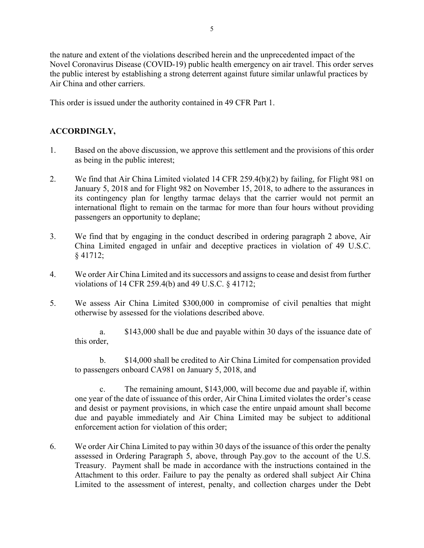the nature and extent of the violations described herein and the unprecedented impact of the Novel Coronavirus Disease (COVID-19) public health emergency on air travel. This order serves the public interest by establishing a strong deterrent against future similar unlawful practices by Air China and other carriers.

This order is issued under the authority contained in 49 CFR Part 1.

# **ACCORDINGLY,**

- 1. Based on the above discussion, we approve this settlement and the provisions of this order as being in the public interest;
- 2. We find that Air China Limited violated 14 CFR 259.4(b)(2) by failing, for Flight 981 on January 5, 2018 and for Flight 982 on November 15, 2018, to adhere to the assurances in its contingency plan for lengthy tarmac delays that the carrier would not permit an international flight to remain on the tarmac for more than four hours without providing passengers an opportunity to deplane;
- 3. We find that by engaging in the conduct described in ordering paragraph 2 above, Air China Limited engaged in unfair and deceptive practices in violation of 49 U.S.C. § 41712;
- 4. We order Air China Limited and its successors and assigns to cease and desist from further violations of 14 CFR 259.4(b) and 49 U.S.C. § 41712;
- 5. We assess Air China Limited \$300,000 in compromise of civil penalties that might otherwise by assessed for the violations described above.

a. \$143,000 shall be due and payable within 30 days of the issuance date of this order,

b. \$14,000 shall be credited to Air China Limited for compensation provided to passengers onboard CA981 on January 5, 2018, and

c. The remaining amount, \$143,000, will become due and payable if, within one year of the date of issuance of this order, Air China Limited violates the order's cease and desist or payment provisions, in which case the entire unpaid amount shall become due and payable immediately and Air China Limited may be subject to additional enforcement action for violation of this order;

6. We order Air China Limited to pay within 30 days of the issuance of this order the penalty assessed in Ordering Paragraph 5, above, through Pay.gov to the account of the U.S. Treasury. Payment shall be made in accordance with the instructions contained in the Attachment to this order. Failure to pay the penalty as ordered shall subject Air China Limited to the assessment of interest, penalty, and collection charges under the Debt